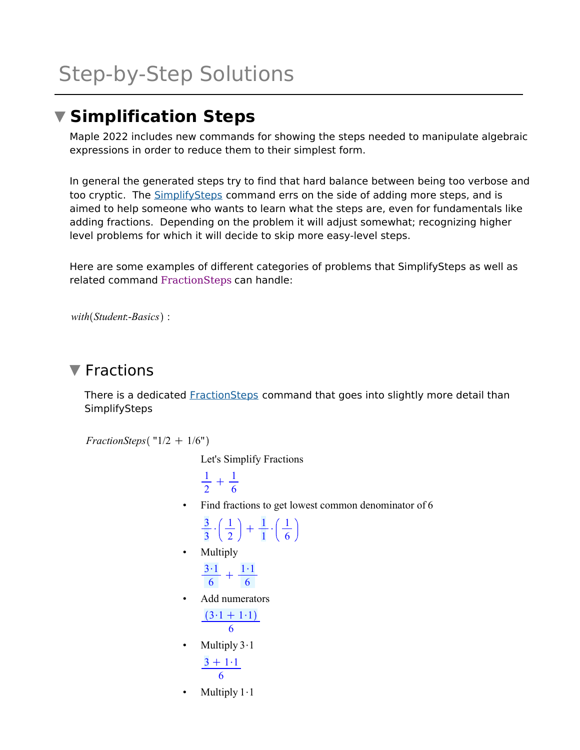# **Simplification Steps**

Maple 2022 includes new commands for showing the steps needed to manipulate algebraic expressions in order to reduce them to their simplest form.

In general the generated steps try to find that hard balance between being too verbose and too cryptic. The SimplifySteps command errs on the side of adding more steps, and is aimed to help someone who wants to learn what the steps are, even for fundamentals like adding fractions. Depending on the problem it will adjust somewhat; recognizing higher level problems for which it will decide to skip more easy-level steps.

Here are some examples of different categories of problems that SimplifySteps as well as related command FractionSteps can handle:

```
with(Student:-Basics):
```
## $\nabla$  Fractions

There is a dedicated **FractionSteps** command that goes into slightly more detail than **SimplifySteps** 

*FractionSteps* ( $"1/2 + 1/6"$ )

Let's Simplify Fractions

```
1
\frac{1}{2} + \frac{1}{6}6
```
• Find fractions to get lowest common denominator of 6

$$
\frac{3}{3} \cdot \left(\frac{1}{2}\right) + \frac{1}{1} \cdot \left(\frac{1}{6}\right)
$$

**Multiply** 

$$
\frac{3\cdot 1}{6} + \frac{1\cdot 1}{6}
$$

• Add numerators

$$
\frac{(3\cdot 1+1\cdot 1)}{6}
$$

- Multiply  $3 \cdot 1$  $3 + 1 \cdot 1$ 6
- Multiply  $1 \cdot 1$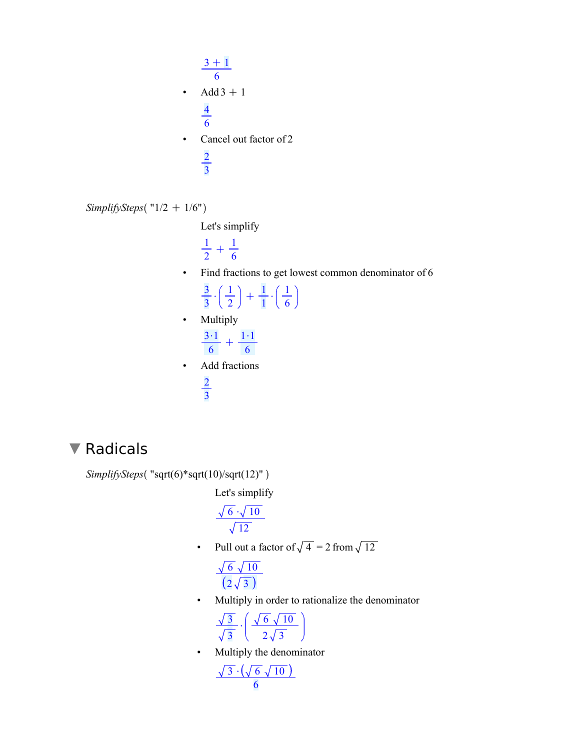$$
\frac{3 + 1}{6}
$$
\n• Add 3 + 1\n
$$
\frac{4}{6}
$$
\n• Cancel out factor of 2\n
$$
\frac{2}{3}
$$

SimplifySteps(
$$
''1/2 + 1/6"
$$
)

Let's simplify

  $\frac{1}{2} + \frac{1}{6}$ 

• Find fractions to get lowest common denominator of 6

• Multiply

| 2<br>6<br>h   |  |
|---------------|--|
| Add fractions |  |
|               |  |

#### Radicals  $\blacktriangledown$

```
SimplifySteps("sqrt(6)*sqrt(10)/sqrt(12)")
```
Let's simplify

$$
\frac{\sqrt{6} \cdot \sqrt{10}}{\sqrt{12}}
$$

• Pull out a factor of  $\sqrt{4}$  = 2 from  $\sqrt{12}$ 

$$
\frac{\sqrt{6}\sqrt{10}}{\left(2\sqrt{3}\right)}
$$

• Multiply in order to rationalize the denominator

$$
\frac{\sqrt{3}}{\sqrt{3}} \cdot \left( \frac{\sqrt{6}\sqrt{10}}{2\sqrt{3}} \right)
$$

• Multiply the denominator

$$
\frac{\sqrt{3}\cdot(\sqrt{6}\sqrt{10})}{6}
$$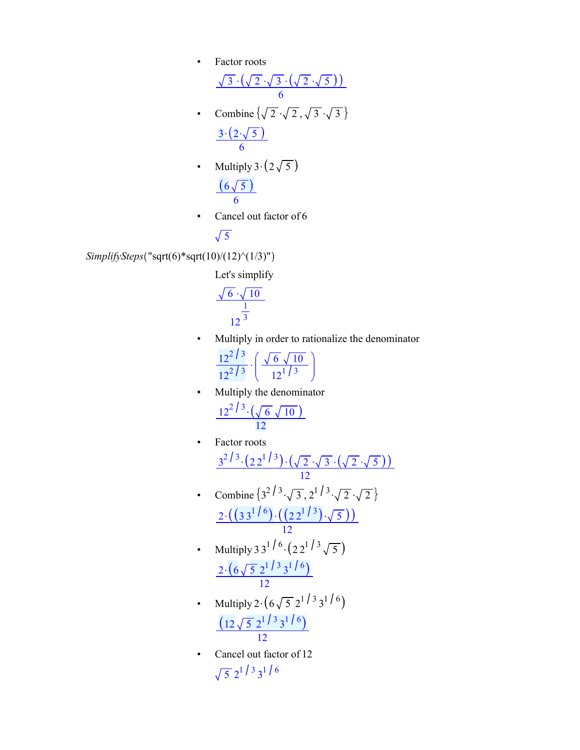• Factor roots

$$
\frac{\sqrt{3} \cdot (\sqrt{2} \cdot \sqrt{3} \cdot (\sqrt{2} \cdot \sqrt{5}))}{6}
$$
\n• Combine  $\{\sqrt{2} \cdot \sqrt{2}, \sqrt{3} \cdot \sqrt{3}\}$   
\n
$$
\frac{3 \cdot (2 \cdot \sqrt{5})}{6}
$$

- Multiply  $3 \cdot (2 \sqrt{5})$  $6\sqrt{5}$ 6
- Cancel out factor of 6

$$
\sqrt{5}
$$

*SimplifySteps*("sqrt(6)\*sqrt(10)/(12)^(1/3)")

Let's simplify

$$
\frac{\sqrt{6} \cdot \sqrt{10}}{\frac{1}{12^3}}
$$

- Multiply in order to rationalize the denominator
	- $12^2$  / 3  $\frac{12^{2}/3}{12^{2}/3} \cdot \left( \frac{\sqrt{6} \sqrt{10}}{12^{1}/3} \right)$  $12^{1/3}$
- Multiply the denominator  $12^{2/3} \cdot (\sqrt{6} \sqrt{10})$ 12
- Factor roots  $3^{2/3} \cdot (2 2^{1/3}) \cdot (\sqrt{2} \cdot \sqrt{3} \cdot (\sqrt{2} \cdot \sqrt{5}))$ 12
- Combine  $\{3^{2}/3\sqrt{3}, 2^{1}/3\sqrt{2}\sqrt{2}\}$  $2.\left( \binom{3}{3}^{1/6}\right).\left( \binom{2}{2}^{1/3}\right).\sqrt{5}$ 12
- Multiply 3 3<sup>1</sup>/<sup>6</sup> ·  $(22^1)^3 \sqrt{5}$  $2\cdot (6\sqrt{5} \cdot 2^{1/3} \cdot 3^{1/6})$ 12
- Multiply 2 $\cdot$  (6 $\sqrt{5}$  2<sup>1</sup>/<sup>3</sup> 3<sup>1</sup>/<sup>6</sup>  $12\sqrt{5}$   $2^{1/3}$   $3^{1/6}$ 12
- Cancel out factor of 12  $\frac{1}{5}$  2<sup>1</sup>/<sup>3</sup> 3<sup>1</sup>/<sup>6</sup>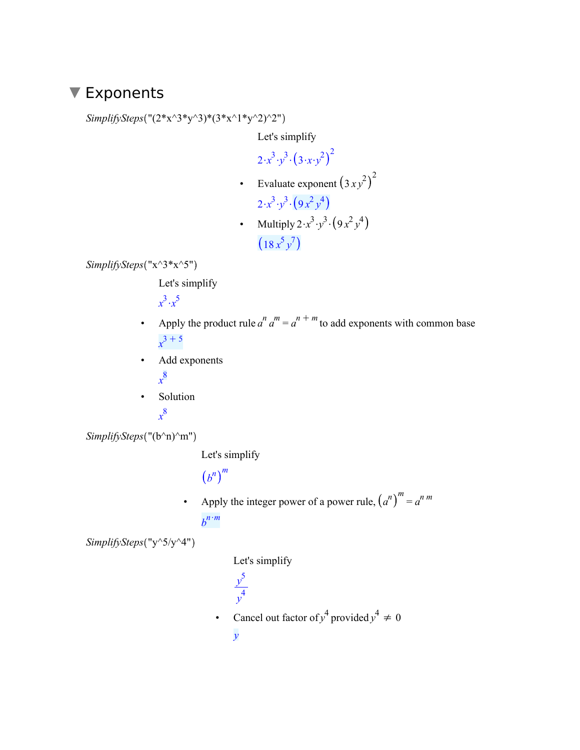#### ▼ Exponents

*SimplifySteps* (" $(2*x^3*y^3)*(3*x^1*y^2)^2"$ )

Let's simplify

 $2 \cdot x^3 \cdot y^3 \cdot (3 \cdot x \cdot y^2)^2$ 

• Evaluate exponent  $(3xy^2)^2$ 

$$
2\cdot x^3\cdot y^3\cdot\left(9\,x^2\,y^4\right)
$$

• Multiply  $2 \cdot x^3 \cdot y^3 \cdot (9x^2y^4)$  $18 x^5 y^7$ 

*SimplifySteps* ("x^3\*x^5")

Let's simplify

 $x^3 \cdot x^5$ 

- Apply the product rule  $a^n a^m = a^{n+m}$  to add exponents with common base  $x^3 + 5$
- Add exponents *x* 8
- Solution

*x* 8

*SimplifySteps* ("(b^n)^m")

Let's simplify

```
b
n m
```
• Apply the integer power of a power rule,  $(a^n)^m = a^{n m}$  $b^{n \cdot m}$ 

*SimplifySteps* ("y^5/y^4")

Let's simplify

- *y* 5 *y* 4
- Cancel out factor of  $y^4$  provided  $y^4 \neq 0$

*y*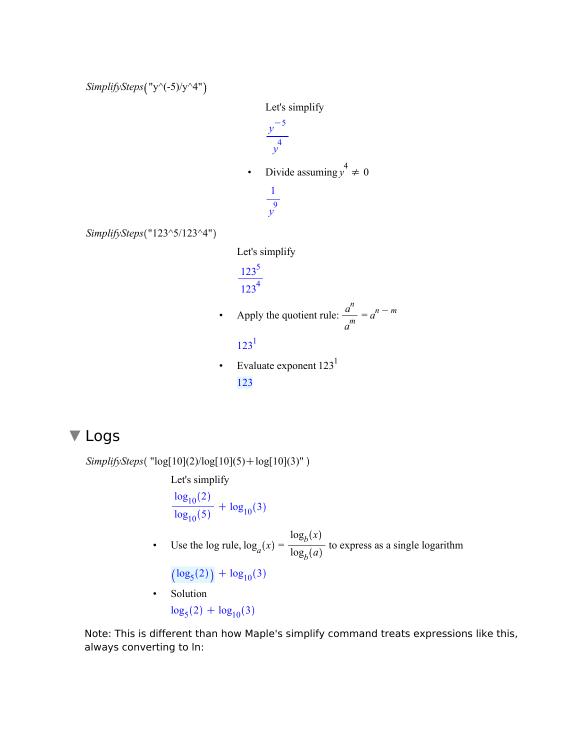*SimplifySteps*("y^(-5)/y^4")

*SimplifySteps* ("123^5/123^4")



• Evaluate exponent  $123<sup>1</sup>$ 123

## **V** Logs

 $SimplifySteps('log[10](2)/log[10](5) + log[10](3)")$ 

Let's simplify

 $\log_{10}(2)$  $\frac{10}{\log_{10}(5)} + \log_{10}(3)$ 

• Use the log rule,  $\log_a(x) = \frac{\log_b(x)}{\log_a(a)}$  $\frac{b}{\log_b(a)}$  to express as a single logarithm

 $\log_5(2)$  +  $\log_{10}(3)$ 

• Solution  $\log_5(2) + \log_{10}(3)$ 

Note: This is different than how Maple's simplify command treats expressions like this, always converting to ln: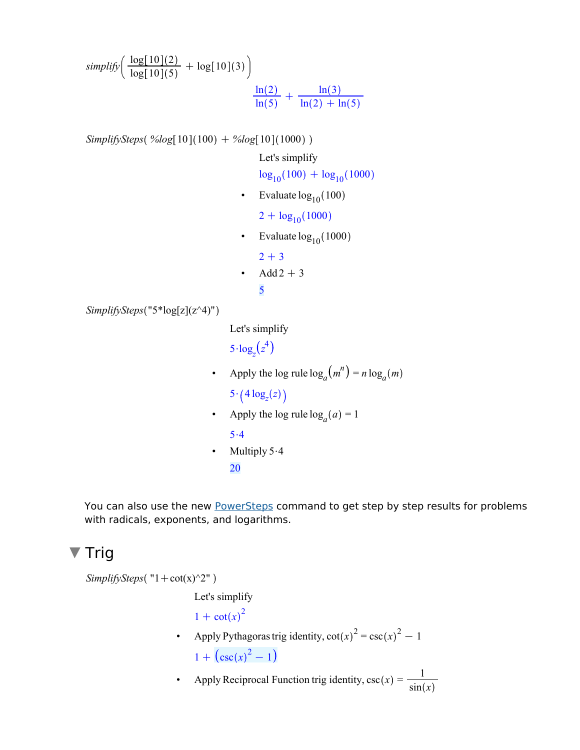$\textit{simplify} \left( \frac{\text{log}[10](2)}{\text{log}[10](5)} + \text{log}[10](3) \right)$  $ln(2)$  $rac{\ln(2)}{\ln(5)} + \frac{\ln(3)}{\ln(2) + \ln(3)}$  $ln(2) + ln(5)$ 

 $SimplifySteps( %log[10](100) + %log[10](1000))$ 

Let's simplify

 $\log_{10}(100) + \log_{10}(1000)$ 

• Evaluate  $log_{10}(100)$ 

 $2 + log_{10}(1000)$ 

• Evaluate  $log_{10}(1000)$ 

 $2 + 3$ 

• Add  $2 + 3$ 5

```
SimplifySteps "5*log[z](z^4)"
```
Let's simplify

 $5 \cdot \log_z(z^4)$ 

- Apply the log rule  $\log_a(m^n) = n \log_a(m)$  $5 \cdot \left( 4 \log_z(z) \right)$
- Apply the log rule  $log_a(a) = 1$

 $5.4$ 

• Multiply  $5.4$ 20

You can also use the new PowerSteps command to get step by step results for problems with radicals, exponents, and logarithms.

## ▼ Trig

```
SimplifySteps ("1 + \cot(x)^2")
                         Let's simplify
                         1 + \cot(x)^2• Apply Pythagoras trig identity, cot(x)^2 = csc(x)^2 - 11 + (\csc(x)^2 - 1)
```
• Apply Reciprocal Function trig identity,  $\csc(x) = \frac{1}{x}$  $sin(x)$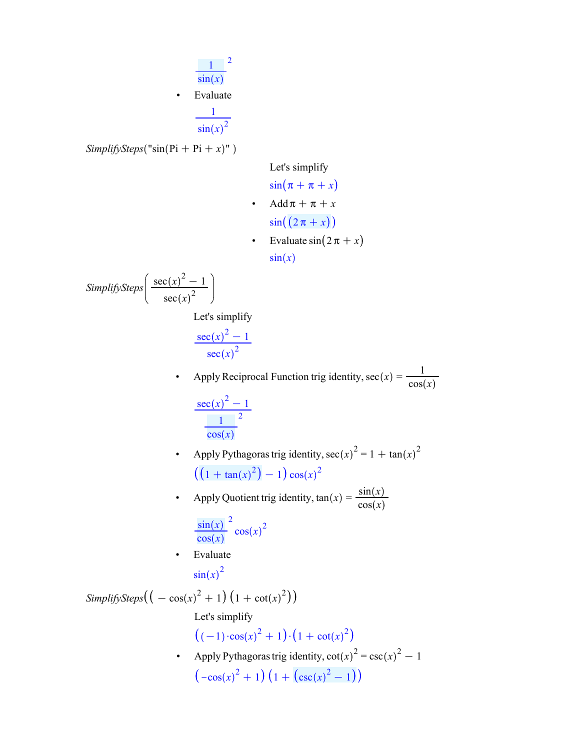$$
\frac{1}{\sin(x)}^{2}
$$
\nEvaluate

$$
\sin(x)^2
$$

 $SimplifySteps("sin(Pi + Pi + x)" )$ 

Let's simplify

$$
\sin(\pi + \pi + x)
$$
  
4dd $\pi + \pi + x$   

$$
\sin((2\pi + x))
$$
  
6. Evaluate  $\sin(2\pi + x)$ 

 $sin(x)$ 

 $SimplifySteps \left( \frac{\sec(x)^2 - 1}{2} \right)$  $sec(x)^2$ 

Let's simplify

$$
\frac{\sec(x)^2 - 1}{\sec(x)^2}
$$

• Apply Reciprocal Function trig identity,  $sec(x) = \frac{1}{2\pi\epsilon_0^3}$  $cos(x)$  $\sec(x)^2 - 1$ 

$$
\frac{\sec(x) - 1}{\frac{1}{\cos(x)}}
$$

• Apply Pythagoras trig identity,  $\sec(x)^2 = 1 + \tan(x)^2$  $1 + \tan(x)^2 - 1\cos(x)^2$ 

• Apply Quotient trig identity,  $tan(x) = \frac{sin(x)}{cos(x)}$  $cos(x)$ 

$$
\frac{\sin(x)}{\cos(x)}^2 \cos(x)^2
$$

• Evaluate  $\sin(x)^2$ 

SimplifySteps
$$
\left(\left(-\cos(x)^2 + 1\right)\left(1 + \cot(x)^2\right)\right)
$$
  
\nLet's simplify  
\n $\left((-1) \cdot \cos(x)^2 + 1\right) \cdot \left(1 + \cot(x)^2\right)$   
\n• Apply Pythagoras trig identity,  $\cot(x)^2 = \csc(x)^2 - 1$   
\n $\left(-\cos(x)^2 + 1\right)\left(1 + \left(\csc(x)^2 - 1\right)\right)$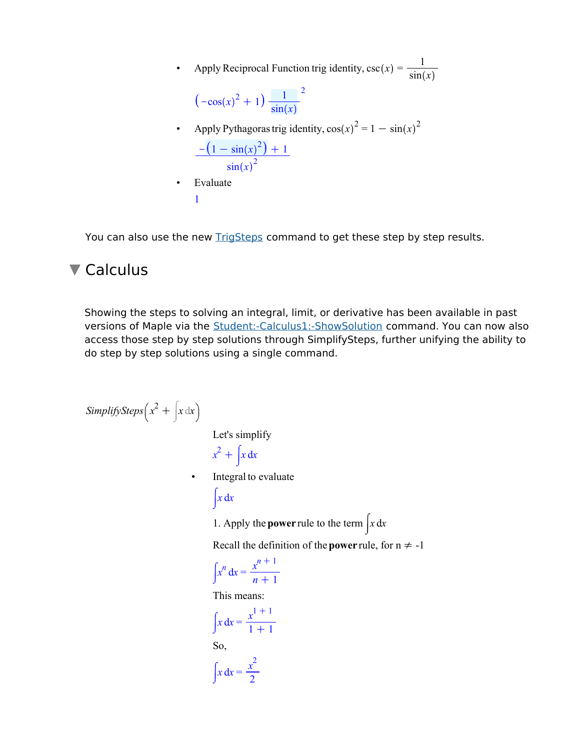• Apply Reciprocal Function trig identity,  $\csc(x) = \frac{1}{\sin(x)}$  $\sin(x)$  $-\cos(x)^2 + 1$ )  $\frac{1}{\sin(x)}$  $\sin(x)$ 2 • Apply Pythagoras trig identity,  $\cos(x)^2 = 1 - \sin(x)^2$  $-(1 - \sin(x)^2) + 1$  $\sin(x)^2$ **Evaluate** 1

You can also use the new TrigSteps command to get these step by step results.

#### ▼ Calculus

Showing the steps to solving an integral, limit, or derivative has been available in past versions of Maple via the Student:-Calculus1:-ShowSolution command. You can now also access those step by step solutions through SimplifySteps, further unifying the ability to do step by step solutions using a single command.

```
SimplifySteps\int x^2 + |x \, dx|^2Let's simplify
                                    x^2 + |x \, dx• Integral to evaluate
                                   \int x dx1. Apply the power rule to the term \int x dxRecall the definition of the power rule, for n \neq -1x^n dx = \frac{x^{n+1}}{1}n + 1This means:
                                      x dx = \frac{x^{1} + 1}{1 + 1}1 + 1So,
                                      x dx = \frac{x^2}{2}2
```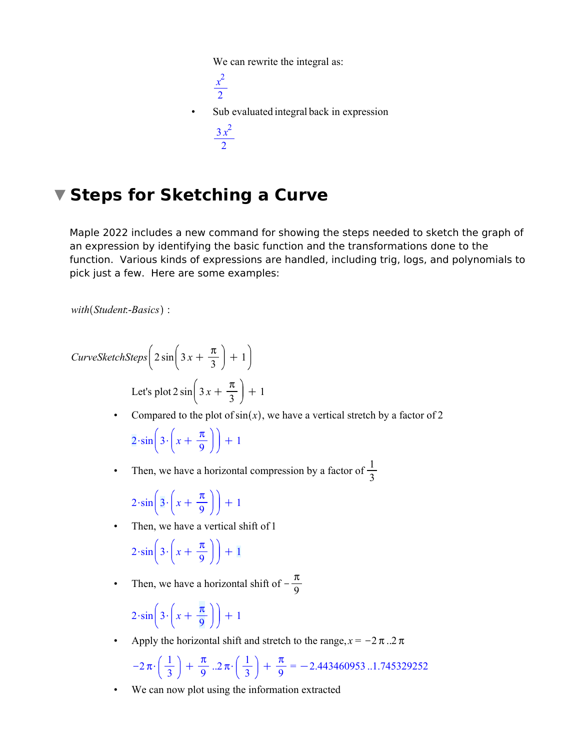We can rewrite the integral as:

*x* 2 2 • Sub evaluated integral back in expression  $3 x<sup>2</sup>$ 2

# **Steps for Sketching a Curve**

Maple 2022 includes a new command for showing the steps needed to sketch the graph of an expression by identifying the basic function and the transformations done to the function. Various kinds of expressions are handled, including trig, logs, and polynomials to pick just a few. Here are some examples:

```
with Student:-Basics :
```
*CurveSketchSteps*  $\left| 2 \sin \right| 3x + C$  $\pi$  $\frac{\pi}{3}$  + 1  $\pi$ 

Let's plot  $2 \sin \left| 3 x + \right|$  $\frac{\pi}{3}$  + 1

• Compared to the plot of  $sin(x)$ , we have a vertical stretch by a factor of 2

 $2 \cdot \sin 3 \cdot x +$  $\pi$  $\frac{\pi}{9}$ ] + 1

• Then, we have a horizontal compression by a factor of  $\frac{1}{3}$ 

$$
2\cdot\sin\left(3\cdot\left(x+\frac{\pi}{9}\right)\right)+1
$$

• Then, we have a vertical shift of 1

$$
2\cdot\sin\left(3\cdot\left(x+\frac{\pi}{9}\right)\right)+1
$$

• Then, we have a horizontal shift of  $-\frac{7}{6}$  $\pi$ 9

$$
2\cdot\sin\left(3\cdot\left(x+\frac{\pi}{9}\right)\right)+1
$$

Apply the horizontal shift and stretch to the range,  $x = -2\pi$ ..2  $\pi$ 

$$
-2\,\pi\cdot\left(\frac{1}{3}\,\right)\,+\,\frac{\pi}{9}\,\,.2\,\pi\cdot\left(\frac{1}{3}\,\right)\,+\,\frac{\pi}{9}=-2.443460953\,.\,.1.745329252
$$

• We can now plot using the information extracted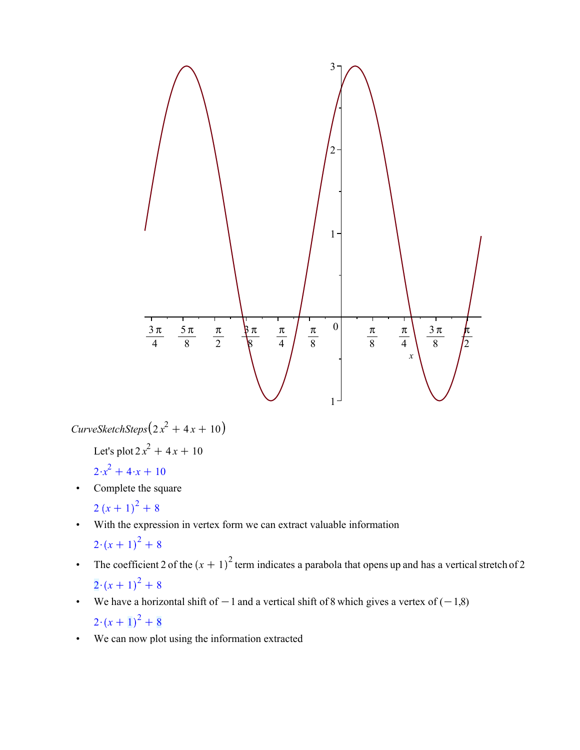

 $Curves ketchSteps (2x<sup>2</sup> + 4x + 10)$ 

Let's plot 
$$
2x^2 + 4x + 10
$$

$$
2 \cdot x^2 + 4 \cdot x + 10
$$

- Complete the square  $2(x+1)^2+8$
- With the expression in vertex form we can extract valuable information  $2\cdot (x+1)^2+8$
- The coefficient 2 of the  $(x + 1)^2$  term indicates a parabola that opens up and has a vertical stretch of 2  $2 \cdot (x+1)^2 + 8$
- We have a horizontal shift of  $-1$  and a vertical shift of 8 which gives a vertex of  $(-1,8)$  $2\cdot (x+1)^2+8$
- We can now plot using the information extracted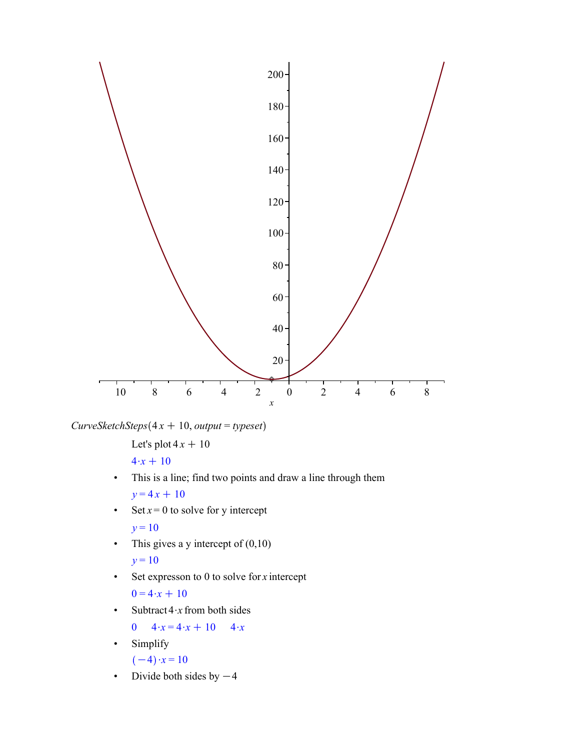

 $CurvesketchSteps(4x + 10, output = typeset)$ 

Let's plot  $4x + 10$ 

 $4 \cdot x + 10$ 

- This is a line; find two points and draw a line through them  $y = 4x + 10$
- Set  $x = 0$  to solve for y intercept

 $y = 10$ 

- This gives a y intercept of  $(0,10)$  $y = 10$
- Set expresson to 0 to solve for *x* intercept

 $0 = 4 \cdot x + 10$ 

• Subtract  $4 \cdot x$  from both sides

$$
0 \quad 4 \cdot x = 4 \cdot x + 10 \quad 4 \cdot x
$$

• Simplify

$$
(-4) \cdot x = 10
$$

• Divide both sides by  $-4$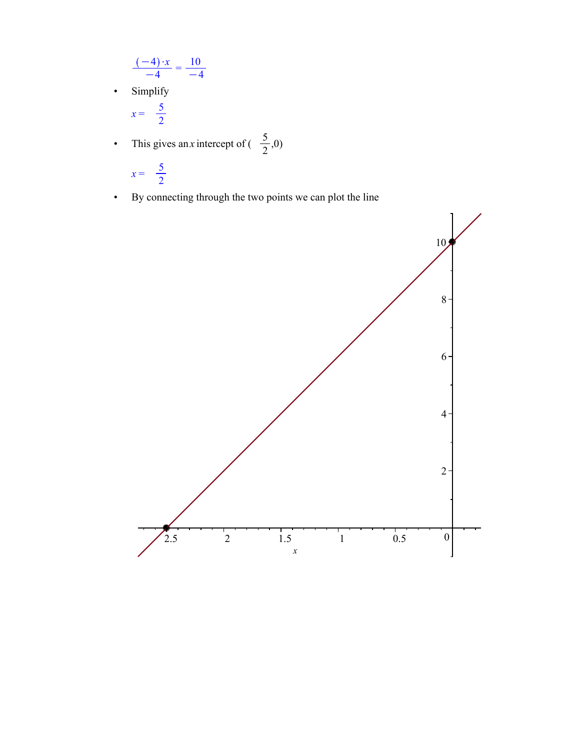$$
\frac{(-4) \cdot x}{-4} = \frac{10}{-4}
$$

• Simplify

$$
x = \frac{5}{2}
$$

• This gives an *x* intercept of  $\left(\frac{5}{2}\right)$  $\frac{5}{2}$ ,0)

$$
x = \frac{5}{2}
$$

• By connecting through the two points we can plot the line

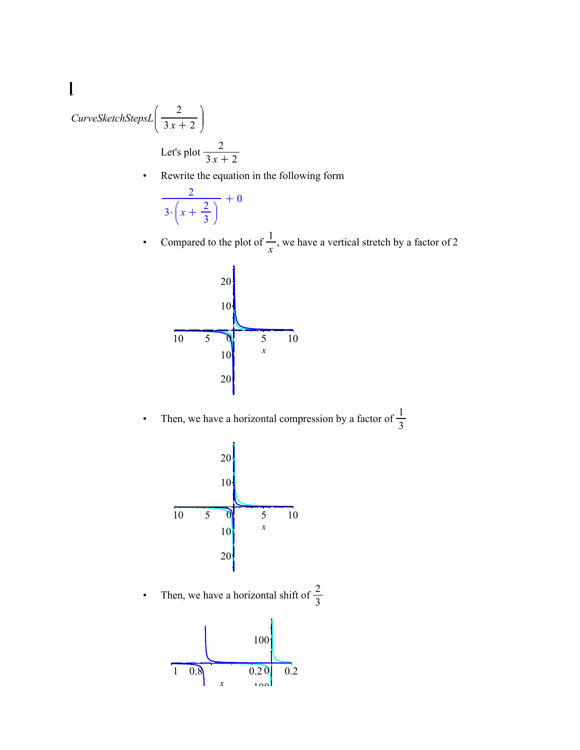#### $\begin{array}{c} \rule{0pt}{2ex} \rule{0pt}{2ex} \rule{0pt}{2ex} \rule{0pt}{2ex} \rule{0pt}{2ex} \rule{0pt}{2ex} \rule{0pt}{2ex} \rule{0pt}{2ex} \rule{0pt}{2ex} \rule{0pt}{2ex} \rule{0pt}{2ex} \rule{0pt}{2ex} \rule{0pt}{2ex} \rule{0pt}{2ex} \rule{0pt}{2ex} \rule{0pt}{2ex} \rule{0pt}{2ex} \rule{0pt}{2ex} \rule{0pt}{2ex} \rule{0pt}{2ex} \rule{0pt}{2ex} \rule{0pt}{2ex} \rule{0pt}{2ex} \rule{0pt}{$ 2 *CurveSketchStepsL*  $3x + 2$ Let's plot  $\frac{2}{3x+2}$

• Rewrite the equation in the following form

$$
\frac{2}{3\cdot\left(x+\frac{2}{3}\right)}+0
$$

• Compared to the plot of  $\frac{1}{x}$ , we have a vertical stretch by a factor of 2



• Then, we have a horizontal compression by a factor of  $\frac{1}{3}$ 



• Then, we have a horizontal shift of  $\frac{2}{3}$